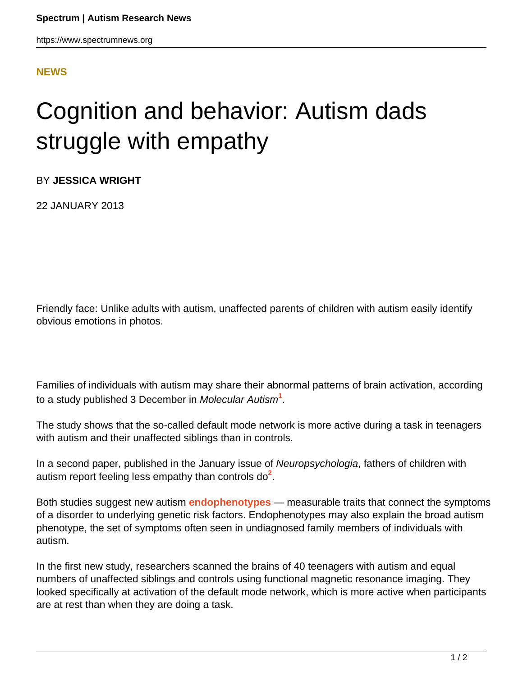## **[NEWS](HTTPS://WWW.SPECTRUMNEWS.ORG/NEWS/)**

## Cognition and behavior: Autism dads struggle with empathy

BY **JESSICA WRIGHT**

22 JANUARY 2013

Friendly face: Unlike adults with autism, unaffected parents of children with autism easily identify obvious emotions in photos.

Families of individuals with autism may share their abnormal patterns of brain activation, according to a study published 3 December in Molecular Autism**<sup>1</sup>** .

The study shows that the so-called default mode network is more active during a task in teenagers with autism and their unaffected siblings than in controls.

In a second paper, published in the January issue of Neuropsychologia, fathers of children with autism report feeling less empathy than controls do<sup>2</sup>.

Both studies suggest new autism **[endophenotypes](../../../resources/sfari-wiki/endophenotype)** — measurable traits that connect the symptoms of a disorder to underlying genetic risk factors. Endophenotypes may also explain the broad autism phenotype, the set of symptoms often seen in undiagnosed family members of individuals with autism.

In the first new study, researchers scanned the brains of 40 teenagers with autism and equal numbers of unaffected siblings and controls using functional magnetic resonance imaging. They looked specifically at activation of the default mode network, which is more active when participants are at rest than when they are doing a task.